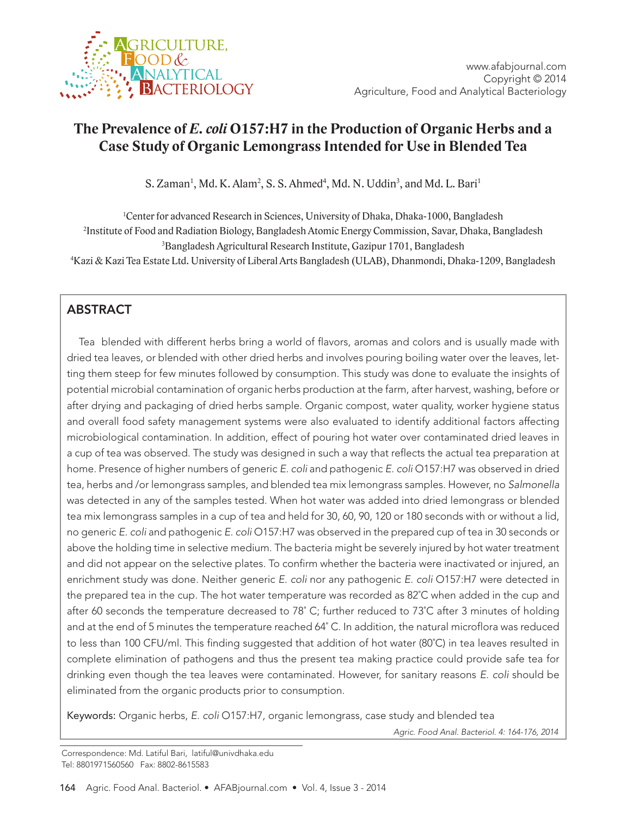

# **The Prevalence of** *E. coli* **O157:H7 in the Production of Organic Herbs and a Case Study of Organic Lemongrass Intended for Use in Blended Tea**

S. Zaman<sup>1</sup>, Md. K. Alam<sup>2</sup>, S. S. Ahmed<sup>4</sup>, Md. N. Uddin<sup>3</sup>, and Md. L. Bari<sup>1</sup>

<sup>1</sup>Center for advanced Research in Sciences, University of Dhaka, Dhaka-1000, Bangladesh Institute of Food and Radiation Biology, Bangladesh Atomic Energy Commission, Savar, Dhaka, Bangladesh Bangladesh Agricultural Research Institute, Gazipur 1701, Bangladesh Kazi & Kazi Tea Estate Ltd. University of Liberal Arts Bangladesh (ULAB), Dhanmondi, Dhaka-1209, Bangladesh

# ABSTRACT

Tea blended with different herbs bring a world of flavors, aromas and colors and is usually made with dried tea leaves, or blended with other dried herbs and involves pouring boiling water over the leaves, letting them steep for few minutes followed by consumption. This study was done to evaluate the insights of potential microbial contamination of organic herbs production at the farm, after harvest, washing, before or after drying and packaging of dried herbs sample. Organic compost, water quality, worker hygiene status and overall food safety management systems were also evaluated to identify additional factors affecting microbiological contamination. In addition, effect of pouring hot water over contaminated dried leaves in a cup of tea was observed. The study was designed in such a way that reflects the actual tea preparation at home. Presence of higher numbers of generic E. coli and pathogenic E. coli O157:H7 was observed in dried tea, herbs and /or lemongrass samples, and blended tea mix lemongrass samples. However, no Salmonella was detected in any of the samples tested. When hot water was added into dried lemongrass or blended tea mix lemongrass samples in a cup of tea and held for 30, 60, 90, 120 or 180 seconds with or without a lid, no generic E. coli and pathogenic E. coli O157:H7 was observed in the prepared cup of tea in 30 seconds or above the holding time in selective medium. The bacteria might be severely injured by hot water treatment and did not appear on the selective plates. To confirm whether the bacteria were inactivated or injured, an enrichment study was done. Neither generic E. coli nor any pathogenic E. coli O157:H7 were detected in the prepared tea in the cup. The hot water temperature was recorded as 82˚C when added in the cup and after 60 seconds the temperature decreased to 78˚ C; further reduced to 73˚C after 3 minutes of holding and at the end of 5 minutes the temperature reached 64˚ C. In addition, the natural microflora was reduced to less than 100 CFU/ml. This finding suggested that addition of hot water (80˚C) in tea leaves resulted in complete elimination of pathogens and thus the present tea making practice could provide safe tea for drinking even though the tea leaves were contaminated. However, for sanitary reasons E. coli should be eliminated from the organic products prior to consumption.

Keywords: Organic herbs, E. coli O157:H7, organic lemongrass, case study and blended tea

Agric. Food Anal. Bacteriol. 4: 164-176, 2014

Correspondence: Md. Latiful Bari, latiful@univdhaka.edu Tel: 8801971560560 Fax: 8802-8615583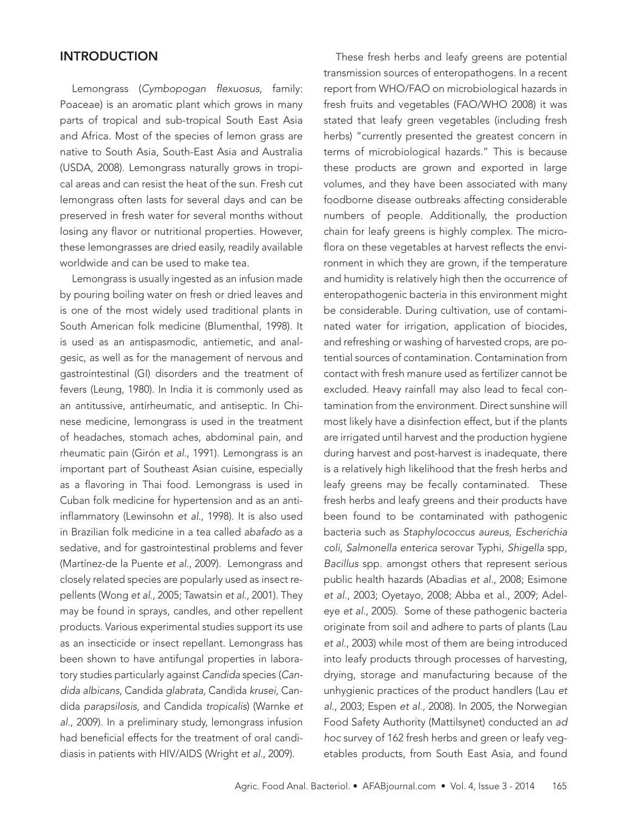### **INTRODUCTION**

Lemongrass (Cymbopogan flexuosus, family: Poaceae) is an aromatic plant which grows in many parts of tropical and sub-tropical South East Asia and Africa. Most of the species of lemon grass are native to South Asia, South-East Asia and Australia (USDA, 2008). Lemongrass naturally grows in tropical areas and can resist the heat of the sun. Fresh cut lemongrass often lasts for several days and can be preserved in fresh water for several months without losing any flavor or nutritional properties. However, these lemongrasses are dried easily, readily available worldwide and can be used to make tea.

Lemongrass is usually ingested as an infusion made by pouring boiling water on fresh or dried leaves and is one of the most widely used traditional plants in South American folk medicine (Blumenthal, 1998). It is used as an antispasmodic, antiemetic, and analgesic, as well as for the management of nervous and gastrointestinal (GI) disorders and the treatment of fevers (Leung, 1980). In India it is commonly used as an antitussive, antirheumatic, and antiseptic. In Chinese medicine, lemongrass is used in the treatment of headaches, stomach aches, abdominal pain, and rheumatic pain (Girón et al., 1991). Lemongrass is an important part of Southeast Asian cuisine, especially as a flavoring in Thai food. Lemongrass is used in Cuban folk medicine for hypertension and as an antiinflammatory (Lewinsohn et al., 1998). It is also used in Brazilian folk medicine in a tea called abafado as a sedative, and for gastrointestinal problems and fever (Martínez-de la Puente et al., 2009). Lemongrass and closely related species are popularly used as insect repellents (Wong et al., 2005; Tawatsin et al., 2001). They may be found in sprays, candles, and other repellent products. Various experimental studies support its use as an insecticide or insect repellant. Lemongrass has been shown to have antifungal properties in laboratory studies particularly against Candida species (Candida albicans, Candida glabrata, Candida krusei, Candida parapsilosis, and Candida tropicalis) (Warnke et al., 2009). In a preliminary study, lemongrass infusion had beneficial effects for the treatment of oral candidiasis in patients with HIV/AIDS (Wright et al., 2009).

These fresh herbs and leafy greens are potential transmission sources of enteropathogens. In a recent report from WHO/FAO on microbiological hazards in fresh fruits and vegetables (FAO/WHO 2008) it was stated that leafy green vegetables (including fresh herbs) "currently presented the greatest concern in terms of microbiological hazards." This is because these products are grown and exported in large volumes, and they have been associated with many foodborne disease outbreaks affecting considerable numbers of people. Additionally, the production chain for leafy greens is highly complex. The microflora on these vegetables at harvest reflects the environment in which they are grown, if the temperature and humidity is relatively high then the occurrence of enteropathogenic bacteria in this environment might be considerable. During cultivation, use of contaminated water for irrigation, application of biocides, and refreshing or washing of harvested crops, are potential sources of contamination. Contamination from contact with fresh manure used as fertilizer cannot be excluded. Heavy rainfall may also lead to fecal contamination from the environment. Direct sunshine will most likely have a disinfection effect, but if the plants are irrigated until harvest and the production hygiene during harvest and post-harvest is inadequate, there is a relatively high likelihood that the fresh herbs and leafy greens may be fecally contaminated. These fresh herbs and leafy greens and their products have been found to be contaminated with pathogenic bacteria such as Staphylococcus aureus, Escherichia coli, Salmonella enterica serovar Typhi, Shigella spp, Bacillus spp. amongst others that represent serious public health hazards (Abadias et al., 2008; Esimone et al., 2003; Oyetayo, 2008; Abba et al., 2009; Adeleye et al., 2005). Some of these pathogenic bacteria originate from soil and adhere to parts of plants (Lau et al., 2003) while most of them are being introduced into leafy products through processes of harvesting, drying, storage and manufacturing because of the unhygienic practices of the product handlers (Lau et al., 2003; Espen et al., 2008). In 2005, the Norwegian Food Safety Authority (Mattilsynet) conducted an ad hoc survey of 162 fresh herbs and green or leafy vegetables products, from South East Asia, and found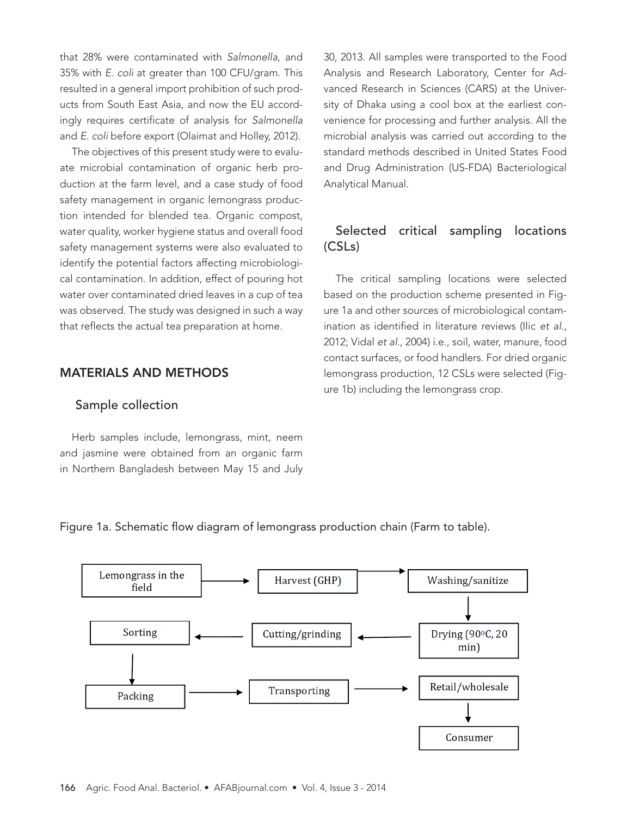that 28% were contaminated with Salmonella, and 35% with E. coli at greater than 100 CFU/gram. This resulted in a general import prohibition of such products from South East Asia, and now the EU accordingly requires certificate of analysis for Salmonella and E. coli before export (Olaimat and Holley, 2012).

The objectives of this present study were to evaluate microbial contamination of organic herb production at the farm level, and a case study of food safety management in organic lemongrass production intended for blended tea. Organic compost, water quality, worker hygiene status and overall food safety management systems were also evaluated to identify the potential factors affecting microbiological contamination. In addition, effect of pouring hot water over contaminated dried leaves in a cup of tea was observed. The study was designed in such a way that reflects the actual tea preparation at home.

### MATERIALS AND METHODS

#### Sample collection

Herb samples include, lemongrass, mint, neem and jasmine were obtained from an organic farm in Northern Bangladesh between May 15 and July 30, 2013. All samples were transported to the Food Analysis and Research Laboratory, Center for Advanced Research in Sciences (CARS) at the University of Dhaka using a cool box at the earliest convenience for processing and further analysis. All the microbial analysis was carried out according to the standard methods described in United States Food and Drug Administration (US-FDA) Bacteriological Analytical Manual.

# Selected critical sampling locations (CSLs)

The critical sampling locations were selected based on the production scheme presented in Figure 1a and other sources of microbiological contamination as identified in literature reviews (Ilic et al., 2012; Vidal et al., 2004) i.e., soil, water, manure, food contact surfaces, or food handlers. For dried organic lemongrass production, 12 CSLs were selected (Figure 1b) including the lemongrass crop.

Figure 1a. Schematic flow diagram of lemongrass production chain (Farm to table).

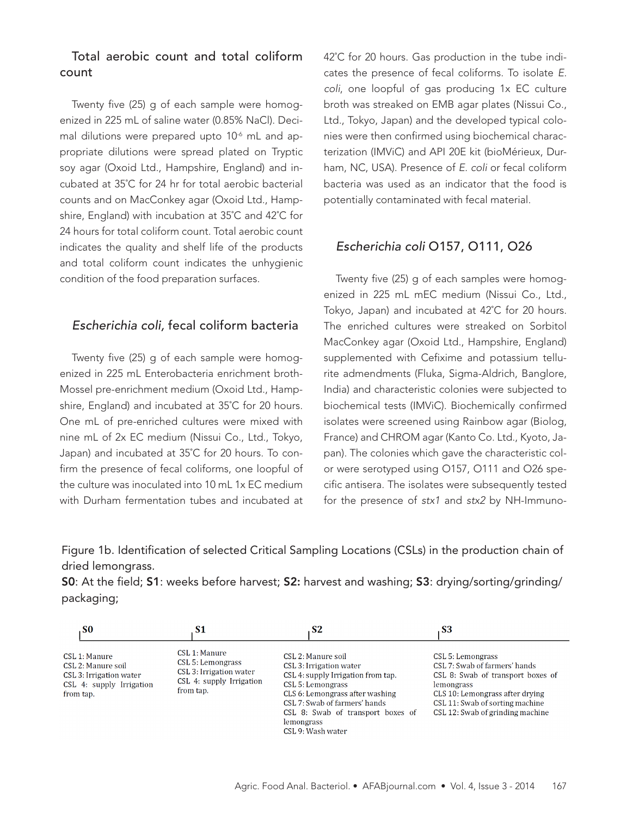# Total aerobic count and total coliform count

Twenty five (25) g of each sample were homogenized in 225 mL of saline water (0.85% NaCl). Decimal dilutions were prepared upto 10<sup>-6</sup> mL and appropriate dilutions were spread plated on Tryptic soy agar (Oxoid Ltd., Hampshire, England) and incubated at 35˚C for 24 hr for total aerobic bacterial counts and on MacConkey agar (Oxoid Ltd., Hampshire, England) with incubation at 35˚C and 42˚C for 24 hours for total coliform count. Total aerobic count indicates the quality and shelf life of the products and total coliform count indicates the unhygienic condition of the food preparation surfaces.

#### Escherichia coli, fecal coliform bacteria

Twenty five (25) g of each sample were homogenized in 225 mL Enterobacteria enrichment broth-Mossel pre-enrichment medium (Oxoid Ltd., Hampshire, England) and incubated at 35˚C for 20 hours. One mL of pre-enriched cultures were mixed with nine mL of 2x EC medium (Nissui Co., Ltd., Tokyo, Japan) and incubated at 35˚C for 20 hours. To confirm the presence of fecal coliforms, one loopful of the culture was inoculated into 10 mL 1x EC medium with Durham fermentation tubes and incubated at 42°C for 20 hours. Gas production in the tube indicates the presence of fecal coliforms. To isolate E. coli, one loopful of gas producing 1x EC culture broth was streaked on EMB agar plates (Nissui Co., Ltd., Tokyo, Japan) and the developed typical colonies were then confirmed using biochemical characterization (IMViC) and API 20E kit (bioMérieux, Durham, NC, USA). Presence of E. coli or fecal coliform bacteria was used as an indicator that the food is potentially contaminated with fecal material.

#### Escherichia coli O157, O111, O26

Twenty five (25) g of each samples were homogenized in 225 mL mEC medium (Nissui Co., Ltd., Tokyo, Japan) and incubated at 42˚C for 20 hours. The enriched cultures were streaked on Sorbitol MacConkey agar (Oxoid Ltd., Hampshire, England) supplemented with Cefixime and potassium tellurite admendments (Fluka, Sigma-Aldrich, Banglore, India) and characteristic colonies were subjected to biochemical tests (IMViC). Biochemically confirmed isolates were screened using Rainbow agar (Biolog, France) and CHROM agar (Kanto Co. Ltd., Kyoto, Japan). The colonies which gave the characteristic color were serotyped using O157, O111 and O26 specific antisera. The isolates were subsequently tested for the presence of stx1 and stx2 by NH-Immuno-

Figure 1b. Identification of selected Critical Sampling Locations (CSLs) in the production chain of dried lemongrass.

S0: At the field; S1: weeks before harvest; S2: harvest and washing; S3: drying/sorting/grinding/ packaging;

| <sub>S0</sub>                                                                                           | S1                                                                                                     | S <sub>2</sub>                                                                                                                                                                                                                                              | S <sub>3</sub>                                                                                                                                                                                                  |
|---------------------------------------------------------------------------------------------------------|--------------------------------------------------------------------------------------------------------|-------------------------------------------------------------------------------------------------------------------------------------------------------------------------------------------------------------------------------------------------------------|-----------------------------------------------------------------------------------------------------------------------------------------------------------------------------------------------------------------|
| CSL 1: Manure<br>CSL 2: Manure soil<br>CSL 3: Irrigation water<br>CSL 4: supply Irrigation<br>from tap. | CSL 1: Manure<br>CSL 5: Lemongrass<br>CSL 3: Irrigation water<br>CSL 4: supply Irrigation<br>from tap. | CSL 2: Manure soil<br>CSL 3: Irrigation water<br>CSL 4: supply Irrigation from tap.<br>CSL 5: Lemongrass<br>CLS 6: Lemongrass after washing<br>CSL 7: Swab of farmers' hands<br>CSL 8: Swab of transport boxes of<br><b>lemongrass</b><br>CSL 9: Wash water | CSL 5: Lemongrass<br>CSL 7: Swab of farmers' hands<br>CSL 8: Swab of transport boxes of<br>lemongrass<br>CLS 10: Lemongrass after drying<br>CSL 11: Swab of sorting machine<br>CSL 12: Swab of grinding machine |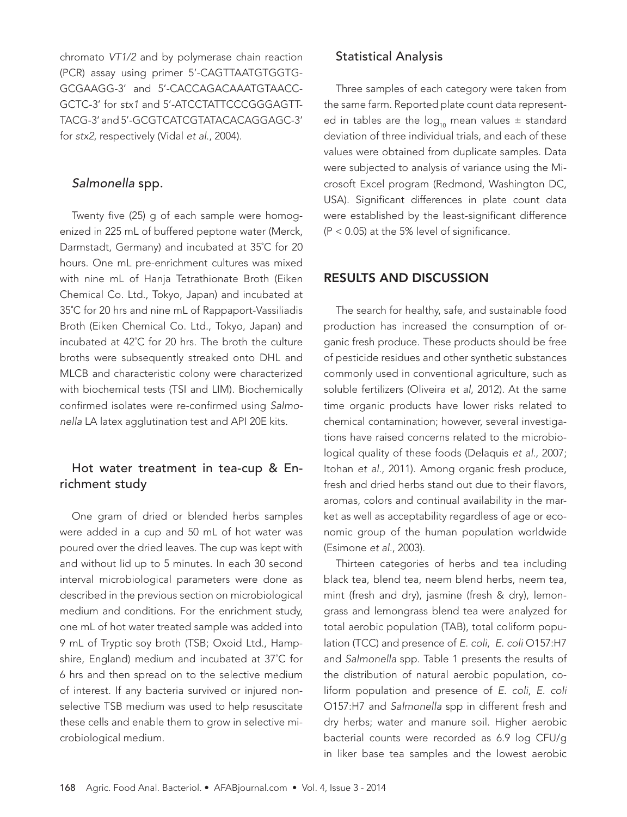chromato VT1/2 and by polymerase chain reaction (PCR) assay using primer 5'-CAGTTAATGTGGTG-GCGAAGG-3' and 5'-CACCAGACAAATGTAACC-GCTC-3' for stx1 and 5'-ATCCTATTCCCGGGAGTT-TACG-3' and 5'-GCGTCATCGTATACACAGGAGC-3' for stx2, respectively (Vidal et al., 2004).

## Salmonella spp.

Twenty five (25) g of each sample were homogenized in 225 mL of buffered peptone water (Merck, Darmstadt, Germany) and incubated at 35˚C for 20 hours. One mL pre-enrichment cultures was mixed with nine mL of Hanja Tetrathionate Broth (Eiken Chemical Co. Ltd., Tokyo, Japan) and incubated at 35˚C for 20 hrs and nine mL of Rappaport-Vassiliadis Broth (Eiken Chemical Co. Ltd., Tokyo, Japan) and incubated at 42˚C for 20 hrs. The broth the culture broths were subsequently streaked onto DHL and MLCB and characteristic colony were characterized with biochemical tests (TSI and LIM). Biochemically confirmed isolates were re-confirmed using Salmonella LA latex agglutination test and API 20E kits.

# Hot water treatment in tea-cup & Enrichment study

One gram of dried or blended herbs samples were added in a cup and 50 mL of hot water was poured over the dried leaves. The cup was kept with and without lid up to 5 minutes. In each 30 second interval microbiological parameters were done as described in the previous section on microbiological medium and conditions. For the enrichment study, one mL of hot water treated sample was added into 9 mL of Tryptic soy broth (TSB; Oxoid Ltd., Hampshire, England) medium and incubated at 37˚C for 6 hrs and then spread on to the selective medium of interest. If any bacteria survived or injured nonselective TSB medium was used to help resuscitate these cells and enable them to grow in selective microbiological medium.

#### Statistical Analysis

Three samples of each category were taken from the same farm. Reported plate count data represented in tables are the  $log_{10}$  mean values  $\pm$  standard deviation of three individual trials, and each of these values were obtained from duplicate samples. Data were subjected to analysis of variance using the Microsoft Excel program (Redmond, Washington DC, USA). Significant differences in plate count data were established by the least-significant difference  $(P < 0.05)$  at the 5% level of significance.

# RESULTS AND DISCUSSION

The search for healthy, safe, and sustainable food production has increased the consumption of organic fresh produce. These products should be free of pesticide residues and other synthetic substances commonly used in conventional agriculture, such as soluble fertilizers (Oliveira et al, 2012). At the same time organic products have lower risks related to chemical contamination; however, several investigations have raised concerns related to the microbiological quality of these foods (Delaquis et al., 2007; Itohan et al., 2011). Among organic fresh produce, fresh and dried herbs stand out due to their flavors, aromas, colors and continual availability in the market as well as acceptability regardless of age or economic group of the human population worldwide (Esimone et al., 2003).

Thirteen categories of herbs and tea including black tea, blend tea, neem blend herbs, neem tea, mint (fresh and dry), jasmine (fresh & dry), lemongrass and lemongrass blend tea were analyzed for total aerobic population (TAB), total coliform population (TCC) and presence of E. coli, E. coli O157:H7 and Salmonella spp. Table 1 presents the results of the distribution of natural aerobic population, coliform population and presence of E. coli, E. coli O157:H7 and Salmonella spp in different fresh and dry herbs; water and manure soil. Higher aerobic bacterial counts were recorded as 6.9 log CFU/g in liker base tea samples and the lowest aerobic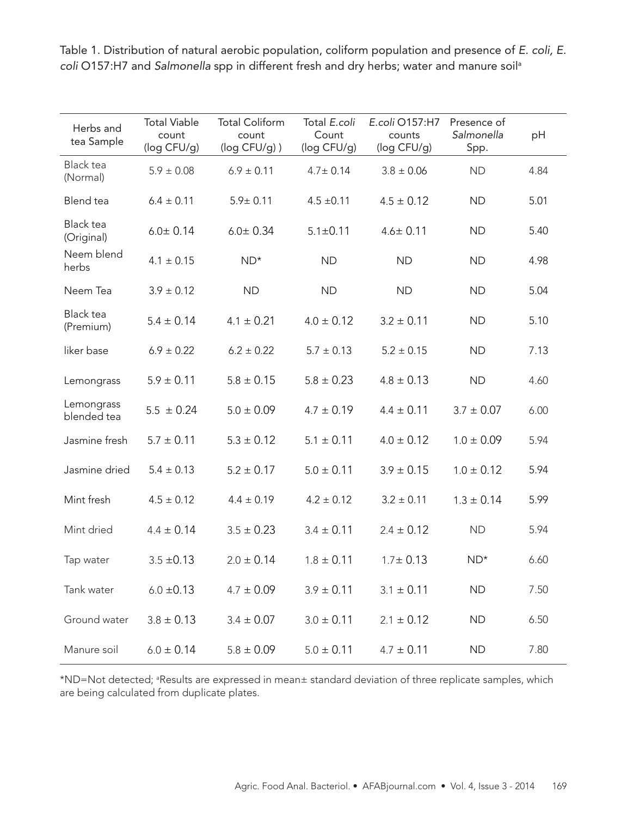| Herbs and<br>tea Sample        | <b>Total Viable</b><br>count<br>(log CFU/g) | <b>Total Coliform</b><br>count<br>$(log CFU/g)$ ) | Total E.coli<br>Count<br>(log CFU/g) | E.coli O157:H7<br>counts<br>(log CFU/g) | Presence of<br>Salmonella<br>Spp. | pH   |
|--------------------------------|---------------------------------------------|---------------------------------------------------|--------------------------------------|-----------------------------------------|-----------------------------------|------|
| <b>Black tea</b><br>(Normal)   | $5.9 \pm 0.08$                              | $6.9 \pm 0.11$                                    | $4.7 \pm 0.14$                       | $3.8 \pm 0.06$                          | <b>ND</b>                         | 4.84 |
| Blend tea                      | $6.4 \pm 0.11$                              | $5.9 \pm 0.11$                                    | $4.5 \pm 0.11$                       | $4.5 \pm 0.12$                          | <b>ND</b>                         | 5.01 |
| <b>Black tea</b><br>(Original) | $6.0 \pm 0.14$                              | $6.0 \pm 0.34$                                    | $5.1 \pm 0.11$                       | $4.6 \pm 0.11$                          | <b>ND</b>                         | 5.40 |
| Neem blend<br>herbs            | $4.1 \pm 0.15$                              | $ND^*$                                            | <b>ND</b>                            | <b>ND</b>                               | <b>ND</b>                         | 4.98 |
| Neem Tea                       | $3.9 \pm 0.12$                              | <b>ND</b>                                         | <b>ND</b>                            | <b>ND</b>                               | <b>ND</b>                         | 5.04 |
| <b>Black tea</b><br>(Premium)  | $5.4 \pm 0.14$                              | $4.1 \pm 0.21$                                    | $4.0 \pm 0.12$                       | $3.2 \pm 0.11$                          | <b>ND</b>                         | 5.10 |
| liker base                     | $6.9 \pm 0.22$                              | $6.2 \pm 0.22$                                    | $5.7 \pm 0.13$                       | $5.2 \pm 0.15$                          | <b>ND</b>                         | 7.13 |
| Lemongrass                     | $5.9 \pm 0.11$                              | $5.8 \pm 0.15$                                    | $5.8 \pm 0.23$                       | $4.8 \pm 0.13$                          | <b>ND</b>                         | 4.60 |
| Lemongrass<br>blended tea      | $5.5 \pm 0.24$                              | $5.0 \pm 0.09$                                    | $4.7 \pm 0.19$                       | $4.4 \pm 0.11$                          | $3.7 \pm 0.07$                    | 6.00 |
| Jasmine fresh                  | $5.7 \pm 0.11$                              | $5.3 \pm 0.12$                                    | $5.1 \pm 0.11$                       | $4.0 \pm 0.12$                          | $1.0 \pm 0.09$                    | 5.94 |
| Jasmine dried                  | $5.4 \pm 0.13$                              | $5.2 \pm 0.17$                                    | $5.0 \pm 0.11$                       | $3.9 \pm 0.15$                          | $1.0 \pm 0.12$                    | 5.94 |
| Mint fresh                     | $4.5 \pm 0.12$                              | $4.4 \pm 0.19$                                    | $4.2 \pm 0.12$                       | $3.2 \pm 0.11$                          | $1.3 \pm 0.14$                    | 5.99 |
| Mint dried                     | $4.4 \pm 0.14$                              | $3.5 \pm 0.23$                                    | $3.4 \pm 0.11$                       | $2.4 \pm 0.12$                          | <b>ND</b>                         | 5.94 |
| Tap water                      | $3.5 \pm 0.13$                              | $2.0 \pm 0.14$                                    | $1.8 \pm 0.11$                       | $1.7 \pm 0.13$                          | $ND*$                             | 6.60 |
| Tank water                     | $6.0 \pm 0.13$                              | $4.7 \pm 0.09$                                    | $3.9 \pm 0.11$                       | $3.1 \pm 0.11$                          | <b>ND</b>                         | 7.50 |
| Ground water                   | $3.8 \pm 0.13$                              | $3.4 \pm 0.07$                                    | $3.0 \pm 0.11$                       | $2.1 \pm 0.12$                          | <b>ND</b>                         | 6.50 |
| Manure soil                    | $6.0 \pm 0.14$                              | $5.8 \pm 0.09$                                    | $5.0 \pm 0.11$                       | $4.7 \pm 0.11$                          | ND                                | 7.80 |

Table 1. Distribution of natural aerobic population, coliform population and presence of E. coli, E. coli O157:H7 and Salmonella spp in different fresh and dry herbs; water and manure soil<sup>a</sup>

\*ND=Not detected; <sup>a</sup> Results are expressed in mean± standard deviation of three replicate samples, which are being calculated from duplicate plates.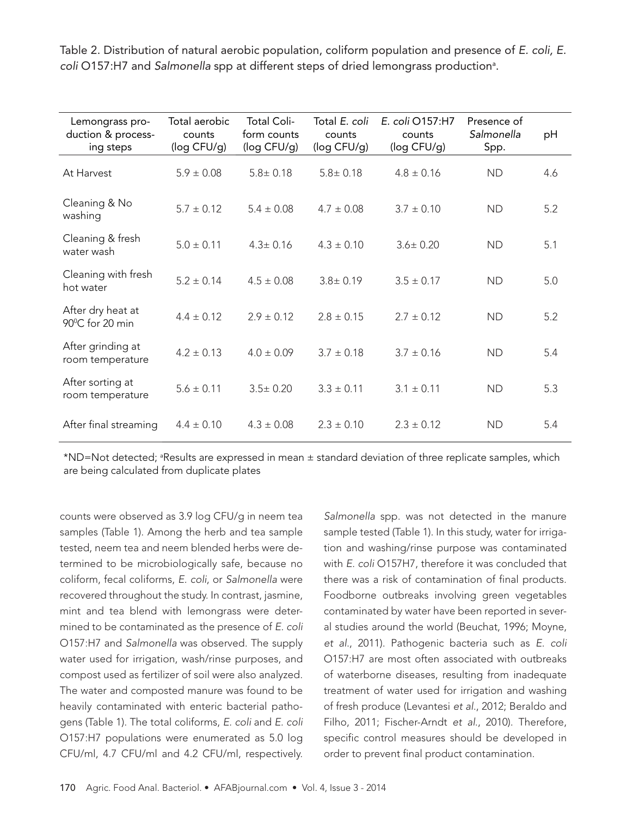Table 2. Distribution of natural aerobic population, coliform population and presence of E. coli, E. coli O157:H7 and Salmonella spp at different steps of dried lemongrass production<sup>a</sup>.

| Lemongrass pro-<br>duction & process-<br>ing steps | Total aerobic<br>counts<br>(log CFU/g) | Total Coli-<br>form counts<br>(log CFU/g) | Total E. coli<br>counts<br>(log CFU/g) | E. coli O157:H7<br>counts<br>(log CFU/g) | Presence of<br>Salmonella<br>Spp. | pH  |
|----------------------------------------------------|----------------------------------------|-------------------------------------------|----------------------------------------|------------------------------------------|-----------------------------------|-----|
| At Harvest                                         | $5.9 \pm 0.08$                         | $5.8 \pm 0.18$                            | $5.8 \pm 0.18$                         | $4.8 \pm 0.16$                           | <b>ND</b>                         | 4.6 |
| Cleaning & No<br>washing                           | $5.7 \pm 0.12$                         | $5.4 \pm 0.08$                            | $4.7 \pm 0.08$                         | $3.7 \pm 0.10$                           | <b>ND</b>                         | 5.2 |
| Cleaning & fresh<br>water wash                     | $5.0 \pm 0.11$                         | $4.3 \pm 0.16$                            | $4.3 \pm 0.10$                         | $3.6 \pm 0.20$                           | <b>ND</b>                         | 5.1 |
| Cleaning with fresh<br>hot water                   | $5.2 \pm 0.14$                         | $4.5 \pm 0.08$                            | $3.8 \pm 0.19$                         | $3.5 \pm 0.17$                           | <b>ND</b>                         | 5.0 |
| After dry heat at<br>90°C for 20 min               | $4.4 \pm 0.12$                         | $2.9 \pm 0.12$                            | $2.8 \pm 0.15$                         | $2.7 \pm 0.12$                           | <b>ND</b>                         | 5.2 |
| After grinding at<br>room temperature              | $4.2 \pm 0.13$                         | $4.0 \pm 0.09$                            | $3.7 \pm 0.18$                         | $3.7 \pm 0.16$                           | <b>ND</b>                         | 5.4 |
| After sorting at<br>room temperature               | $5.6 \pm 0.11$                         | $3.5 \pm 0.20$                            | $3.3 \pm 0.11$                         | $3.1 \pm 0.11$                           | <b>ND</b>                         | 5.3 |
| After final streaming                              | $4.4 \pm 0.10$                         | $4.3 \pm 0.08$                            | $2.3 \pm 0.10$                         | $2.3 \pm 0.12$                           | <b>ND</b>                         | 5.4 |

\*ND=Not detected; <sup>a</sup>Results are expressed in mean  $\pm$  standard deviation of three replicate samples, which are being calculated from duplicate plates

counts were observed as 3.9 log CFU/g in neem tea samples (Table 1). Among the herb and tea sample tested, neem tea and neem blended herbs were determined to be microbiologically safe, because no coliform, fecal coliforms, E. coli, or Salmonella were recovered throughout the study. In contrast, jasmine, mint and tea blend with lemongrass were determined to be contaminated as the presence of E. coli O157:H7 and Salmonella was observed. The supply water used for irrigation, wash/rinse purposes, and compost used as fertilizer of soil were also analyzed. The water and composted manure was found to be heavily contaminated with enteric bacterial pathogens (Table 1). The total coliforms, E. coli and E. coli O157:H7 populations were enumerated as 5.0 log CFU/ml, 4.7 CFU/ml and 4.2 CFU/ml, respectively.

Salmonella spp. was not detected in the manure sample tested (Table 1). In this study, water for irrigation and washing/rinse purpose was contaminated with E. coli O157H7, therefore it was concluded that there was a risk of contamination of final products. Foodborne outbreaks involving green vegetables contaminated by water have been reported in several studies around the world (Beuchat, 1996; Moyne, et al., 2011). Pathogenic bacteria such as E. coli O157:H7 are most often associated with outbreaks of waterborne diseases, resulting from inadequate treatment of water used for irrigation and washing of fresh produce (Levantesi et al., 2012; Beraldo and Filho, 2011; Fischer-Arndt et al., 2010). Therefore, specific control measures should be developed in order to prevent final product contamination.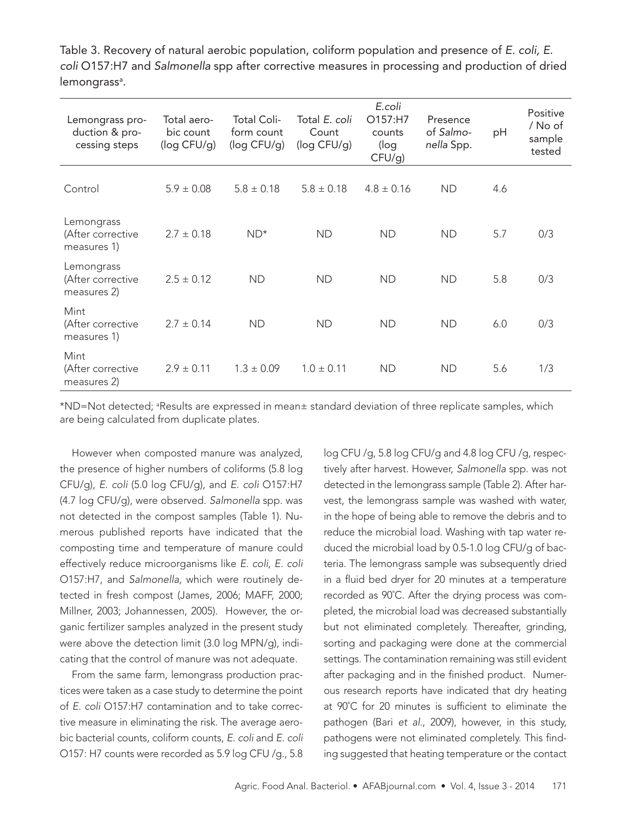Table 3. Recovery of natural aerobic population, coliform population and presence of E. coli, E. coli O157:H7 and Salmonella spp after corrective measures in processing and production of dried lemongrass<sup>a</sup>.

| Lemongrass pro-<br>duction & pro-<br>cessing steps | Total aero-<br>bic count<br>(log CFU/g) | Total Coli-<br>form count<br>(log CFU/g) | Total E. coli<br>Count<br>(log CFU/g) | E.coli<br>O157:H7<br>counts<br>(log<br>$CFU/g$ ) | Presence<br>of Salmo-<br>nella Spp. | pH  | Positive<br>/ No of<br>sample<br>tested |
|----------------------------------------------------|-----------------------------------------|------------------------------------------|---------------------------------------|--------------------------------------------------|-------------------------------------|-----|-----------------------------------------|
| Control                                            | $5.9 \pm 0.08$                          | $5.8 \pm 0.18$                           | $5.8 \pm 0.18$                        | $4.8 \pm 0.16$                                   | <b>ND</b>                           | 4.6 |                                         |
| Lemongrass<br>(After corrective<br>measures 1)     | $2.7 \pm 0.18$                          | $ND*$                                    | <b>ND</b>                             | <b>ND</b>                                        | <b>ND</b>                           | 5.7 | 0/3                                     |
| Lemongrass<br>(After corrective<br>measures 2)     | $2.5 \pm 0.12$                          | <b>ND</b>                                | <b>ND</b>                             | <b>ND</b>                                        | <b>ND</b>                           | 5.8 | 0/3                                     |
| Mint<br>(After corrective<br>measures 1)           | $2.7 \pm 0.14$                          | <b>ND</b>                                | <b>ND</b>                             | <b>ND</b>                                        | <b>ND</b>                           | 6.0 | 0/3                                     |
| Mint<br>(After corrective<br>measures 2)           | $2.9 \pm 0.11$                          | $1.3 \pm 0.09$                           | $1.0 \pm 0.11$                        | <b>ND</b>                                        | <b>ND</b>                           | 5.6 | 1/3                                     |

\*ND=Not detected; <sup>a</sup> Results are expressed in mean± standard deviation of three replicate samples, which are being calculated from duplicate plates.

However when composted manure was analyzed, the presence of higher numbers of coliforms (5.8 log CFU/g), E. coli (5.0 log CFU/g), and E. coli O157:H7 (4.7 log CFU/g), were observed. Salmonella spp. was not detected in the compost samples (Table 1). Numerous published reports have indicated that the composting time and temperature of manure could effectively reduce microorganisms like E. coli, E. coli O157:H7, and Salmonella, which were routinely detected in fresh compost (James, 2006; MAFF, 2000; Millner, 2003; Johannessen, 2005). However, the organic fertilizer samples analyzed in the present study were above the detection limit (3.0 log MPN/g), indicating that the control of manure was not adequate.

From the same farm, lemongrass production practices were taken as a case study to determine the point of E. coli O157:H7 contamination and to take corrective measure in eliminating the risk. The average aerobic bacterial counts, coliform counts, E. coli and E. coli O157: H7 counts were recorded as 5.9 log CFU /g., 5.8

log CFU /g, 5.8 log CFU/g and 4.8 log CFU /g, respectively after harvest. However, Salmonella spp. was not detected in the lemongrass sample (Table 2). After harvest, the lemongrass sample was washed with water, in the hope of being able to remove the debris and to reduce the microbial load. Washing with tap water reduced the microbial load by 0.5-1.0 log CFU/g of bacteria. The lemongrass sample was subsequently dried in a fluid bed dryer for 20 minutes at a temperature recorded as 90˚C. After the drying process was completed, the microbial load was decreased substantially but not eliminated completely. Thereafter, grinding, sorting and packaging were done at the commercial settings. The contamination remaining was still evident after packaging and in the finished product. Numerous research reports have indicated that dry heating at 90˚C for 20 minutes is sufficient to eliminate the pathogen (Bari et al., 2009), however, in this study, pathogens were not eliminated completely. This finding suggested that heating temperature or the contact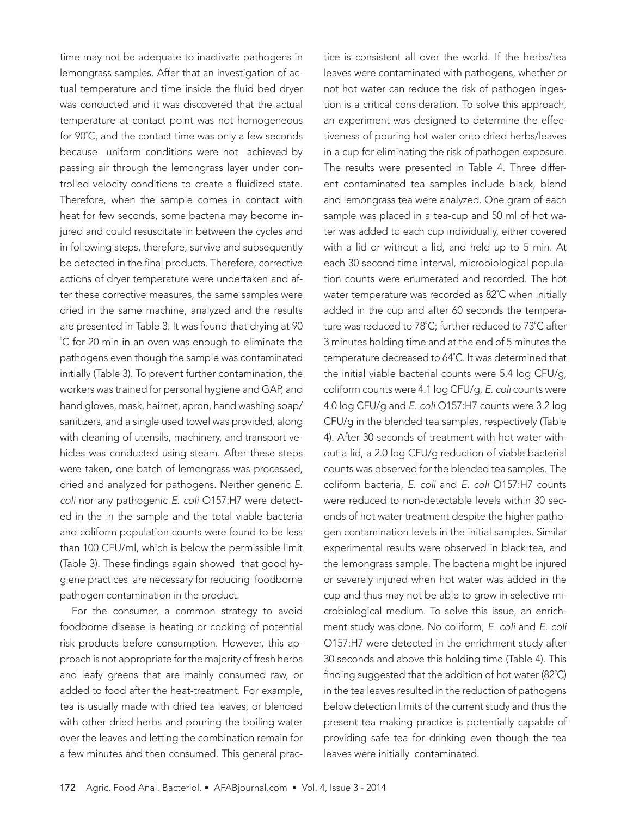time may not be adequate to inactivate pathogens in lemongrass samples. After that an investigation of actual temperature and time inside the fluid bed dryer was conducted and it was discovered that the actual temperature at contact point was not homogeneous for 90˚C, and the contact time was only a few seconds because uniform conditions were not achieved by passing air through the lemongrass layer under controlled velocity conditions to create a fluidized state. Therefore, when the sample comes in contact with heat for few seconds, some bacteria may become injured and could resuscitate in between the cycles and in following steps, therefore, survive and subsequently be detected in the final products. Therefore, corrective actions of dryer temperature were undertaken and after these corrective measures, the same samples were dried in the same machine, analyzed and the results are presented in Table 3. It was found that drying at 90 ˚C for 20 min in an oven was enough to eliminate the pathogens even though the sample was contaminated initially (Table 3). To prevent further contamination, the workers was trained for personal hygiene and GAP, and hand gloves, mask, hairnet, apron, hand washing soap/ sanitizers, and a single used towel was provided, along with cleaning of utensils, machinery, and transport vehicles was conducted using steam. After these steps were taken, one batch of lemongrass was processed, dried and analyzed for pathogens. Neither generic E. coli nor any pathogenic E. coli O157:H7 were detected in the in the sample and the total viable bacteria and coliform population counts were found to be less than 100 CFU/ml, which is below the permissible limit (Table 3). These findings again showed that good hygiene practices are necessary for reducing foodborne pathogen contamination in the product.

For the consumer, a common strategy to avoid foodborne disease is heating or cooking of potential risk products before consumption. However, this approach is not appropriate for the majority of fresh herbs and leafy greens that are mainly consumed raw, or added to food after the heat-treatment. For example, tea is usually made with dried tea leaves, or blended with other dried herbs and pouring the boiling water over the leaves and letting the combination remain for a few minutes and then consumed. This general practice is consistent all over the world. If the herbs/tea leaves were contaminated with pathogens, whether or not hot water can reduce the risk of pathogen ingestion is a critical consideration. To solve this approach, an experiment was designed to determine the effectiveness of pouring hot water onto dried herbs/leaves in a cup for eliminating the risk of pathogen exposure. The results were presented in Table 4. Three different contaminated tea samples include black, blend and lemongrass tea were analyzed. One gram of each sample was placed in a tea-cup and 50 ml of hot water was added to each cup individually, either covered with a lid or without a lid, and held up to 5 min. At each 30 second time interval, microbiological population counts were enumerated and recorded. The hot water temperature was recorded as 82˚C when initially added in the cup and after 60 seconds the temperature was reduced to 78˚C; further reduced to 73˚C after 3 minutes holding time and at the end of 5 minutes the temperature decreased to 64˚C. It was determined that the initial viable bacterial counts were 5.4 log CFU/g, coliform counts were 4.1 log CFU/g, E. coli counts were 4.0 log CFU/g and E. coli O157:H7 counts were 3.2 log CFU/g in the blended tea samples, respectively (Table 4). After 30 seconds of treatment with hot water without a lid, a 2.0 log CFU/g reduction of viable bacterial counts was observed for the blended tea samples. The coliform bacteria, E. coli and E. coli O157:H7 counts were reduced to non-detectable levels within 30 seconds of hot water treatment despite the higher pathogen contamination levels in the initial samples. Similar experimental results were observed in black tea, and the lemongrass sample. The bacteria might be injured or severely injured when hot water was added in the cup and thus may not be able to grow in selective microbiological medium. To solve this issue, an enrichment study was done. No coliform, E. coli and E. coli O157:H7 were detected in the enrichment study after 30 seconds and above this holding time (Table 4). This finding suggested that the addition of hot water (82˚C) in the tea leaves resulted in the reduction of pathogens below detection limits of the current study and thus the present tea making practice is potentially capable of providing safe tea for drinking even though the tea leaves were initially contaminated.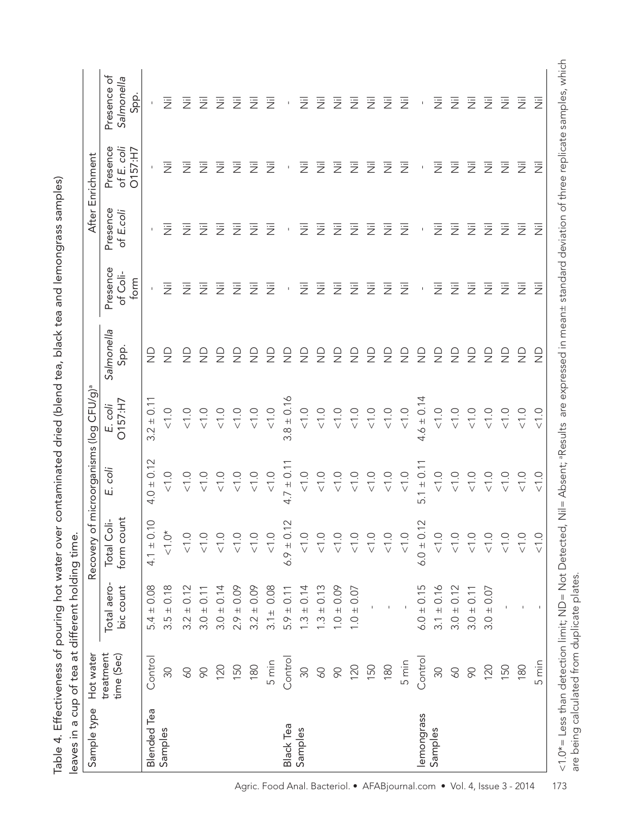| t pouring hot water over contaminated dried (blend tea, black tea and lemongrass samples) |                |
|-------------------------------------------------------------------------------------------|----------------|
|                                                                                           |                |
|                                                                                           |                |
|                                                                                           |                |
|                                                                                           |                |
|                                                                                           |                |
|                                                                                           |                |
|                                                                                           |                |
|                                                                                           |                |
|                                                                                           |                |
|                                                                                           |                |
|                                                                                           |                |
|                                                                                           |                |
|                                                                                           |                |
|                                                                                           |                |
|                                                                                           |                |
|                                                                                           |                |
|                                                                                           |                |
|                                                                                           |                |
|                                                                                           |                |
|                                                                                           |                |
|                                                                                           |                |
|                                                                                           |                |
|                                                                                           |                |
|                                                                                           |                |
|                                                                                           |                |
|                                                                                           |                |
|                                                                                           |                |
|                                                                                           |                |
|                                                                                           |                |
|                                                                                           |                |
|                                                                                           |                |
|                                                                                           |                |
|                                                                                           | $\ddot{\cdot}$ |
|                                                                                           |                |
|                                                                                           |                |
|                                                                                           |                |
|                                                                                           |                |
|                                                                                           |                |
| Ś                                                                                         |                |
|                                                                                           |                |
|                                                                                           |                |
|                                                                                           |                |
|                                                                                           |                |
| ı                                                                                         |                |
|                                                                                           |                |
|                                                                                           |                |
|                                                                                           |                |
|                                                                                           |                |
|                                                                                           |                |
|                                                                                           |                |

|  | Sample type Hot water                                                                                               |                                           | <b>Blended</b> Tea   | Samples                               |                    |                                             |                                                |                           |                      |                | <b>Black Tea</b>  | Samples        |                                                  |                        |                         |                                |                         |  |
|--|---------------------------------------------------------------------------------------------------------------------|-------------------------------------------|----------------------|---------------------------------------|--------------------|---------------------------------------------|------------------------------------------------|---------------------------|----------------------|----------------|-------------------|----------------|--------------------------------------------------|------------------------|-------------------------|--------------------------------|-------------------------|--|
|  |                                                                                                                     | treatment<br>time (Sec)                   | Control              | 30                                    | SQ                 | 90                                          | 120                                            | 150                       | 180                  | 5 min          | Control           | 30             | SO                                               | 90                     | 120                     | 150                            | 180                     |  |
|  | Recovery of microorganisms (log CFU/g) <sup>ª</sup><br><u>َه</u><br>leaves in a cup of tea at different holding tim | Total aero-<br>bic count                  | $5.4 \pm 0.08$       | $3.5 \pm 0.18$                        | $3.2 \pm 0.12$     | $3.0 \pm 0.11$                              | $3.0 \pm 0.14$                                 | $2.9 \pm 0.09$            | $3.2 \pm 0.09$       | $3.1 \pm 0.08$ | $5.9 \pm 0.11$    | $1.3 \pm 0.14$ | $1.3 \pm 0.13$                                   | $1.0 \pm 0.09$         | $1.0 \pm 0.07$          |                                |                         |  |
|  |                                                                                                                     | form count<br>$rac{1}{\sqrt{2}}$<br>Total | 0.10<br>$4.1 \pm$    | $\sum_{i=1}^{k}$<br>$\overline{\vee}$ | Q                  | $\stackrel{\textstyle\leftharpoonup}{\vee}$ |                                                | Q<br>$\overline{\vee}$    | Q                    | Q              | 0.12<br>$6.9 \pm$ | Q              | $\overline{\vee}$                                | Q<br>$\overline{\vee}$ | $\overline{\vee}$       | Q<br>$\stackrel{\frown}{\vee}$ | O.<br>$\overline{\vee}$ |  |
|  |                                                                                                                     | ö<br>цi                                   | $4.0 \pm 0.12$       | $\frac{0}{\sqrt{2}}$                  | $<1.0$             | $<1.0$                                      | $\leq 1.0$                                     | $<1.0$                    | $< 1.0$              | $\frac{0}{2}$  | $4.7 \pm 0.11$    | $\frac{1}{2}$  | $<1.0$                                           | $rac{1}{\sqrt{2}}$     | $< 1.0$                 | $\frac{0}{\sqrt{1}}$ .0        |                         |  |
|  | O157:H7<br>E. coli                                                                                                  | $3.2 \pm 0.11$                            | $\frac{0}{\sqrt{2}}$ | $<1.0$                                | $rac{1}{\sqrt{2}}$ |                                             | $\begin{array}{c}\n0.0 \\ \hline\n\end{array}$ | $\leq 1.0$                | $\frac{0}{\sqrt{2}}$ | $3.8 \pm 0.16$ | $\frac{1}{2}$     |                | $\begin{array}{c} 0.0 \\ 0.0 \\ 0.0 \end{array}$ | $<1.0$                 | $\frac{0}{\sqrt{1}}$ .0 |                                |                         |  |
|  | Salmonella<br>Spp.                                                                                                  |                                           | $\frac{\Omega}{Z}$   | $\frac{\Omega}{Z}$                    | $\frac{1}{2}$      | $\frac{\Omega}{Z}$                          | $\frac{1}{2}$                                  | $\frac{1}{2}$             | $\frac{1}{2}$        | $\frac{1}{2}$  | $\frac{1}{2}$     | $\frac{1}{2}$  | $\frac{1}{2}$                                    | $\frac{1}{2}$          | $\frac{1}{2}$           | $\frac{1}{2}$                  |                         |  |
|  |                                                                                                                     | Presence<br>of Coli-<br>form              | $\bar{1}$            | 运                                     | 运                  | 运                                           | 运                                              | 运                         | 运                    | 运              | $\bar{1}$         | 运              | 运                                                | 运                      | 运                       | 运                              | 运                       |  |
|  |                                                                                                                     | Presence<br>of E.coli                     |                      | 這                                     | 运                  | 运                                           | 运                                              | $\overline{\overline{z}}$ | 运                    | 运              | $\mathsf I$       | Ξ              | 运                                                | 运                      | 运                       | 运                              | 运                       |  |
|  | After Enrichment                                                                                                    | Presence<br>of E. coli<br>O157:H7         | $\mathsf I$          | 這                                     | 运                  | 运                                           | 运                                              | 运                         | 运                    | 运              | $\mathsf I$       | Ξ              | 运                                                | 运                      | 运                       | 运                              | 运                       |  |
|  | Presence of<br>Salmonella<br>Spp.                                                                                   | $\mathsf{I}$                              | 运                    | 运                                     | 运                  | 运                                           | 运                                              | 运                         | 运                    | $\mathsf I$    | 运                 | 运              | 运                                                | Ξ                      | 运                       | 运                              |                         |  |

lemongrass Samples

lemongrass

 $\text{Control} \qquad 6.0 \pm 0.15 \qquad 6.0 \pm 0.12 \qquad 5.1 \pm 0.14 \qquad \text{NDD} \qquad \text{-}$ 11 ± 11 ± 12 = 12 = 0.17 = 0.17 = 0.17 = 0.17 = 0.17 = 0.17 = 0.17 = 0.17 = 0.17 = 0.17 = 0.17 = 0.1 60 3.0 ± 0.12 <1.0 <1.0 <1.0 ND Nil Nil Nil Nil 90 3.0 ± 0.11 <1.0 <1.0 <1.0 ND Nil Nil Nil Nil 120 3.0 ± 0.07 <1.0 <1.0 <1.0 ND Nil Nil Nil Nil 112 - 112 - 112 - 112 - 112 - 110 - 110 - 110 - 110 - 110 - 110 - 110 - 110 - 110 - 110 - 110 - 1110 - 1110 - 1<br>1110 - 11110 - 11110 - 11110 - 11110 - 11110 - 11110 - 11110 - 11110 - 11110 - 11110 - 11110 - 11110 - 11110 -180 - 190 - 190 - 190 - 190 - 190 - 190 - 190 - 190 - 190 - 190 - 190 - 190 - 190 - 190 - 190 - 191 - 191 - 19<br>191 - 192 - 192 - 192 - 192 - 192 - 192 - 193 - 193 - 193 - 193 - 193 - 193 - 193 - 193 - 193 - 193 - 193 - 19 5 min - <1.0 <1.0 <1.0 ND Nil Nil Nil Nil

 $4.6 \pm 0.14$ 

 $5.1 \pm 0.11$ 

 $6.0 \pm 0.12$ 

 $6.0 \pm 0.15$  $3.1 \pm 0.16$  $3.0 \pm 0.12$  $3.0 \pm 0.11$  $3.0 \pm 0.07$ 

Control

 $30$  $\mathsf{SO}$  $\infty$ 

 $\frac{0}{\sqrt{2}}$  $\frac{0}{\sqrt{2}}$  $\frac{0}{\sqrt{2}}$ 

 $\frac{0}{\sqrt{2}}$  $\frac{0}{2}$ 

 $\frac{0}{2}$  $\frac{0}{\sqrt{2}}$ 

 $\supseteq$ 

 $\overline{\overline{z}}$  $\overline{\overline{z}}$ 

 $\overline{\overline{z}}$  $\overline{\overline{z}}$  $\overline{\overline{z}}$  $\overline{\overline{z}}$  $\overline{\overline{z}}$ 

 $\overline{\overline{z}}$ 

 $\overline{\overline{z}}$  $\overline{\overline{z}}$  $\overline{\overline{z}}$  $\overline{\overline{z}}$  $\overline{\overline{z}}$  $\overline{\overline{z}}$  $\overline{\overline{z}}$ 

 $\overline{\overline{z}}$ 

 $2222$ 

 $\bar{1}$ 

 $\overline{1}$ 

 $\bar{1}$ 

 $\bar{1}$ 

运 运 运 运  $\overline{\overline{z}}$ 

 $\overline{\overline{z}}$  $\overline{\overline{z}}$  $\overline{\overline{z}}$  $\overline{\overline{z}}$ 

 $\overline{\overline{z}}$ 

 $\supseteq$ 

 $\frac{0}{2}$ 

 $\frac{0}{\sqrt{2}}$  $rac{1}{\sqrt{2}}$ 

 $\bar{1}$ 

120 150  $\supseteq$ 

 $\frac{0}{\sqrt{2}}$ 

 $rac{1}{\sqrt{2}}$ 

 $\overline{1}$ 

5 min 180

 $\supseteq$ 

 $\frac{0}{\sqrt{2}}$  $\frac{0}{\sqrt{2}}$ 

 $\frac{0}{\sqrt{2}}$  $\frac{0}{\sqrt{2}}$  $\frac{0}{\sqrt{2}}$  $\frac{0}{\sqrt{2}}$ 

 $\frac{0}{\sqrt{2}}$  $\frac{0}{\sqrt{2}}$  $\frac{0}{2}$   $\overline{\overline{z}}$ 

 $\overline{\overline{z}}$ 

<sup>&</sup>lt;1.0\*= Less than detection limit; ND= Not Detected, Nil= Absent; Results are expressed in mean± standard deviation of three replicate samples, which <1.0\*= Less than detection limit; ND= Not Detected, Nil= Absent; aResults are expressed in mean± standard deviation of three replicate samples, which are being calculated from duplicate plates. are being calculated from duplicate plates.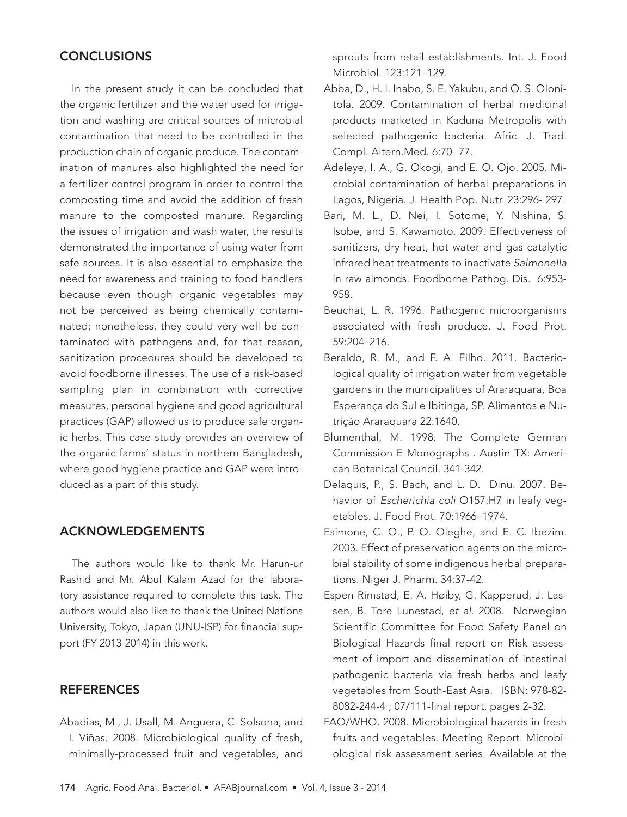# **CONCLUSIONS**

In the present study it can be concluded that the organic fertilizer and the water used for irrigation and washing are critical sources of microbial contamination that need to be controlled in the production chain of organic produce. The contamination of manures also highlighted the need for a fertilizer control program in order to control the composting time and avoid the addition of fresh manure to the composted manure. Regarding the issues of irrigation and wash water, the results demonstrated the importance of using water from safe sources. It is also essential to emphasize the need for awareness and training to food handlers because even though organic vegetables may not be perceived as being chemically contaminated; nonetheless, they could very well be contaminated with pathogens and, for that reason, sanitization procedures should be developed to avoid foodborne illnesses. The use of a risk-based sampling plan in combination with corrective measures, personal hygiene and good agricultural practices (GAP) allowed us to produce safe organic herbs. This case study provides an overview of the organic farms' status in northern Bangladesh, where good hygiene practice and GAP were introduced as a part of this study.

### ACKNOWLEDGEMENTS

The authors would like to thank Mr. Harun-ur Rashid and Mr. Abul Kalam Azad for the laboratory assistance required to complete this task. The authors would also like to thank the United Nations University, Tokyo, Japan (UNU-ISP) for financial support (FY 2013-2014) in this work.

### **REFERENCES**

Abadias, M., J. Usall, M. Anguera, C. Solsona, and I. Viñas. 2008. Microbiological quality of fresh, minimally-processed fruit and vegetables, and sprouts from retail establishments. Int. J. Food Microbiol. 123:121–129.

- Abba, D., H. I. Inabo, S. E. Yakubu, and O. S. Olonitola. 2009. Contamination of herbal medicinal products marketed in Kaduna Metropolis with selected pathogenic bacteria. Afric. J. Trad. Compl. Altern.Med. 6:70- 77.
- Adeleye, I. A., G. Okogi, and E. O. Ojo. 2005. Microbial contamination of herbal preparations in Lagos, Nigeria. J. Health Pop. Nutr. 23:296- 297.
- Bari, M. L., D. Nei, I. Sotome, Y. Nishina, S. Isobe, and S. Kawamoto. 2009. Effectiveness of sanitizers, dry heat, hot water and gas catalytic infrared heat treatments to inactivate Salmonella in raw almonds. Foodborne Pathog. Dis. 6:953- 958.
- Beuchat, L. R. 1996. Pathogenic microorganisms associated with fresh produce. J. Food Prot. 59:204–216.
- Beraldo, R. M., and F. A. Filho. 2011. Bacteriological quality of irrigation water from vegetable gardens in the municipalities of Araraquara, Boa Esperança do Sul e Ibitinga, SP. Alimentos e Nutrição Araraquara 22:1640.
- Blumenthal, M. 1998. The Complete German Commission E Monographs . Austin TX: American Botanical Council. 341-342.
- Delaquis, P., S. Bach, and L. D. Dinu. 2007. Behavior of Escherichia coli O157:H7 in leafy vegetables. J. Food Prot. 70:1966–1974.
- Esimone, C. O., P. O. Oleghe, and E. C. Ibezim. 2003. Effect of preservation agents on the microbial stability of some indigenous herbal preparations. Niger J. Pharm. 34:37-42.
- Espen Rimstad, E. A. Høiby, G. Kapperud, J. Lassen, B. Tore Lunestad, et al. 2008. Norwegian Scientific Committee for Food Safety Panel on Biological Hazards final report on Risk assessment of import and dissemination of intestinal pathogenic bacteria via fresh herbs and leafy vegetables from South-East Asia. ISBN: 978-82- 8082-244-4 ; 07/111-final report, pages 2-32.
- FAO/WHO. 2008. Microbiological hazards in fresh fruits and vegetables. Meeting Report. Microbiological risk assessment series. Available at the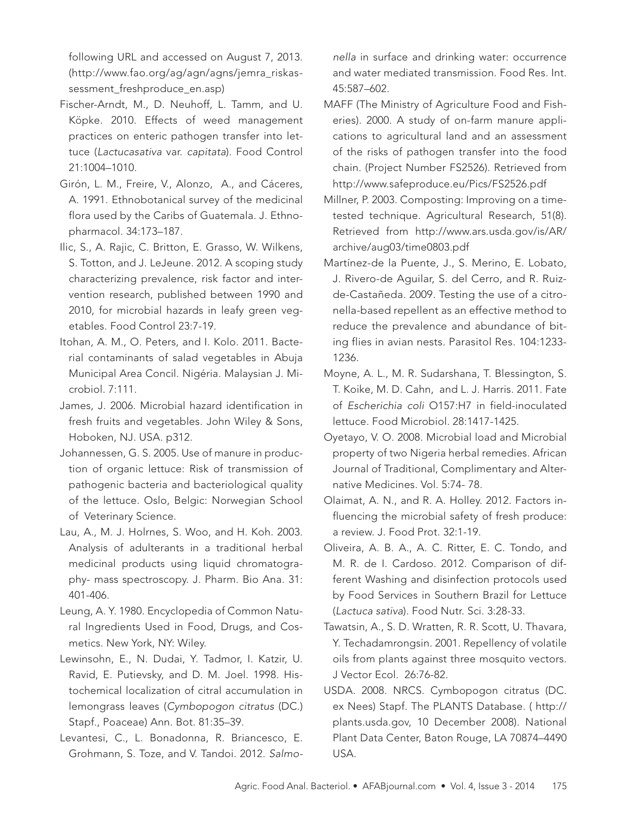following URL and accessed on August 7, 2013. (http://www.fao.org/ag/agn/agns/jemra\_riskassessment\_freshproduce\_en.asp)

- Fischer-Arndt, M., D. Neuhoff, L. Tamm, and U. Köpke. 2010. Effects of weed management practices on enteric pathogen transfer into lettuce (Lactucasativa var. capitata). Food Control 21:1004–1010.
- Girón, L. M., Freire, V., Alonzo, A., and Cáceres, A. 1991. Ethnobotanical survey of the medicinal flora used by the Caribs of Guatemala. J. Ethnopharmacol. 34:173–187.
- Ilic, S., A. Rajic, C. Britton, E. Grasso, W. Wilkens, S. Totton, and J. LeJeune. 2012. A scoping study characterizing prevalence, risk factor and intervention research, published between 1990 and 2010, for microbial hazards in leafy green vegetables. Food Control 23:7-19.
- Itohan, A. M., O. Peters, and I. Kolo. 2011. Bacterial contaminants of salad vegetables in Abuja Municipal Area Concil. Nigéria. Malaysian J. Microbiol. 7:111.
- James, J. 2006. Microbial hazard identification in fresh fruits and vegetables. John Wiley & Sons, Hoboken, NJ. USA. p312.
- Johannessen, G. S. 2005. Use of manure in production of organic lettuce: Risk of transmission of pathogenic bacteria and bacteriological quality of the lettuce. Oslo, Belgic: Norwegian School of Veterinary Science.
- Lau, A., M. J. Holrnes, S. Woo, and H. Koh. 2003. Analysis of adulterants in a traditional herbal medicinal products using liquid chromatography- mass spectroscopy. J. Pharm. Bio Ana. 31: 401-406.
- Leung, A. Y. 1980. Encyclopedia of Common Natural Ingredients Used in Food, Drugs, and Cosmetics. New York, NY: Wiley.
- Lewinsohn, E., N. Dudai, Y. Tadmor, I. Katzir, U. Ravid, E. Putievsky, and D. M. Joel. 1998. Histochemical localization of citral accumulation in lemongrass leaves (Cymbopogon citratus (DC.) Stapf., Poaceae) Ann. Bot. 81:35–39.
- Levantesi, C., L. Bonadonna, R. Briancesco, E. Grohmann, S. Toze, and V. Tandoi. 2012. Salmo-

nella in surface and drinking water: occurrence and water mediated transmission. Food Res. Int. 45:587–602.

- MAFF (The Ministry of Agriculture Food and Fisheries). 2000. A study of on-farm manure applications to agricultural land and an assessment of the risks of pathogen transfer into the food chain. (Project Number FS2526). Retrieved from http://www.safeproduce.eu/Pics/FS2526.pdf
- Millner, P. 2003. Composting: Improving on a timetested technique. Agricultural Research, 51(8). Retrieved from http://www.ars.usda.gov/is/AR/ archive/aug03/time0803.pdf
- Martínez-de la Puente, J., S. Merino, E. Lobato, J. Rivero-de Aguilar, S. del Cerro, and R. Ruizde-Castañeda. 2009. Testing the use of a citronella-based repellent as an effective method to reduce the prevalence and abundance of biting flies in avian nests. Parasitol Res. 104:1233- 1236.
- Moyne, A. L., M. R. Sudarshana, T. Blessington, S. T. Koike, M. D. Cahn, and L. J. Harris. 2011. Fate of Escherichia coli O157:H7 in field-inoculated lettuce. Food Microbiol. 28:1417-1425.
- Oyetayo, V. O. 2008. Microbial load and Microbial property of two Nigeria herbal remedies. African Journal of Traditional, Complimentary and Alternative Medicines. Vol. 5:74- 78.
- Olaimat, A. N., and R. A. Holley. 2012. Factors influencing the microbial safety of fresh produce: a review. J. Food Prot. 32:1-19.
- Oliveira, A. B. A., A. C. Ritter, E. C. Tondo, and M. R. de I. Cardoso. 2012. Comparison of different Washing and disinfection protocols used by Food Services in Southern Brazil for Lettuce (Lactuca sativa). Food Nutr. Sci. 3:28-33.
- Tawatsin, A., S. D. Wratten, R. R. Scott, U. Thavara, Y. Techadamrongsin. 2001. Repellency of volatile oils from plants against three mosquito vectors. J Vector Ecol. 26:76-82.
- USDA. 2008. NRCS. Cymbopogon citratus (DC. ex Nees) Stapf. The PLANTS Database. ( http:// plants.usda.gov, 10 December 2008). National Plant Data Center, Baton Rouge, LA 70874–4490 USA.